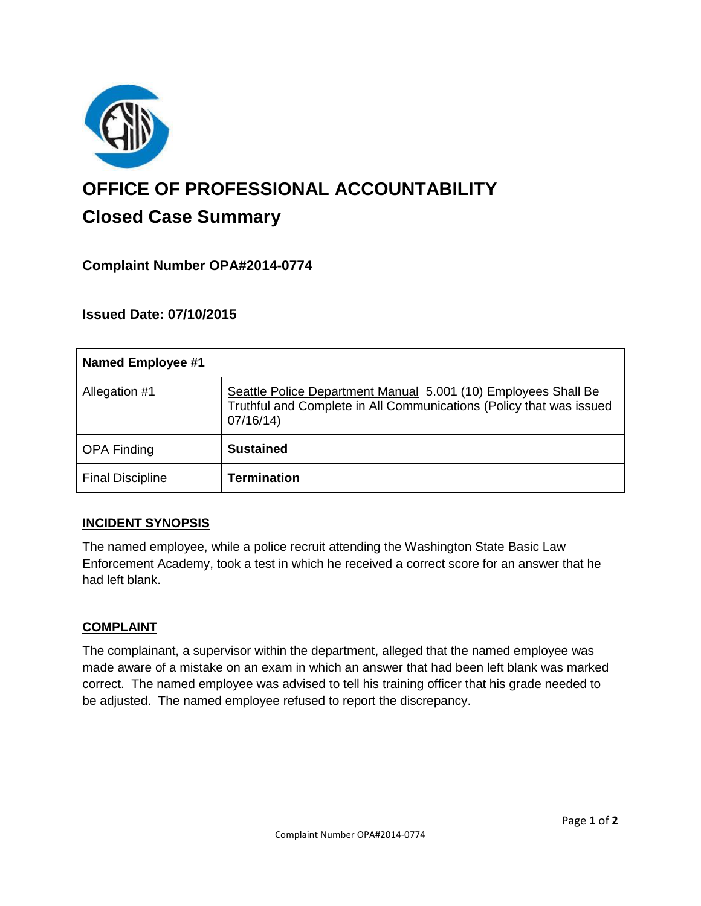

# **OFFICE OF PROFESSIONAL ACCOUNTABILITY Closed Case Summary**

# **Complaint Number OPA#2014-0774**

## **Issued Date: 07/10/2015**

| Named Employee #1       |                                                                                                                                                   |
|-------------------------|---------------------------------------------------------------------------------------------------------------------------------------------------|
| Allegation #1           | Seattle Police Department Manual 5.001 (10) Employees Shall Be<br>Truthful and Complete in All Communications (Policy that was issued<br>07/16/14 |
| <b>OPA Finding</b>      | <b>Sustained</b>                                                                                                                                  |
| <b>Final Discipline</b> | <b>Termination</b>                                                                                                                                |

#### **INCIDENT SYNOPSIS**

The named employee, while a police recruit attending the Washington State Basic Law Enforcement Academy, took a test in which he received a correct score for an answer that he had left blank.

#### **COMPLAINT**

The complainant, a supervisor within the department, alleged that the named employee was made aware of a mistake on an exam in which an answer that had been left blank was marked correct. The named employee was advised to tell his training officer that his grade needed to be adjusted. The named employee refused to report the discrepancy.